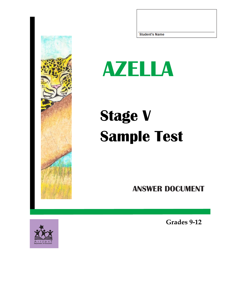

## **AZELLA**

## **Stage V Sample Test**

**ANSWER DOCUMENT**

**Grades 9-12**

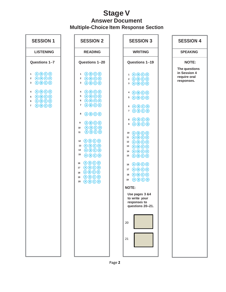## **Stage V Answer Document Multiple-Choice Item Response Section**

| <b>SESSION 1</b>                                                                                                                                                                                                                                                                                                                                                                                            | <b>SESSION 2</b>                                                                                                                                                                                                                                                                                                                                                                                                                                                                                                                                                                                                                                                                                                                                                                                                                                                                                                                                                                                                                                                                                                             | <b>SESSION 3</b>                                                                                                                                                                                                                                                                                                                                                                                                                                                                                                                                                                                                                                                                                                                                                                                                                                                                                                                                                                         | <b>SESSION 4</b>                                            |
|-------------------------------------------------------------------------------------------------------------------------------------------------------------------------------------------------------------------------------------------------------------------------------------------------------------------------------------------------------------------------------------------------------------|------------------------------------------------------------------------------------------------------------------------------------------------------------------------------------------------------------------------------------------------------------------------------------------------------------------------------------------------------------------------------------------------------------------------------------------------------------------------------------------------------------------------------------------------------------------------------------------------------------------------------------------------------------------------------------------------------------------------------------------------------------------------------------------------------------------------------------------------------------------------------------------------------------------------------------------------------------------------------------------------------------------------------------------------------------------------------------------------------------------------------|------------------------------------------------------------------------------------------------------------------------------------------------------------------------------------------------------------------------------------------------------------------------------------------------------------------------------------------------------------------------------------------------------------------------------------------------------------------------------------------------------------------------------------------------------------------------------------------------------------------------------------------------------------------------------------------------------------------------------------------------------------------------------------------------------------------------------------------------------------------------------------------------------------------------------------------------------------------------------------------|-------------------------------------------------------------|
| <b>LISTENING</b>                                                                                                                                                                                                                                                                                                                                                                                            | <b>READING</b>                                                                                                                                                                                                                                                                                                                                                                                                                                                                                                                                                                                                                                                                                                                                                                                                                                                                                                                                                                                                                                                                                                               | <b>WRITING</b>                                                                                                                                                                                                                                                                                                                                                                                                                                                                                                                                                                                                                                                                                                                                                                                                                                                                                                                                                                           | <b>SPEAKING</b>                                             |
| Questions 1-7                                                                                                                                                                                                                                                                                                                                                                                               | Questions 1-20                                                                                                                                                                                                                                                                                                                                                                                                                                                                                                                                                                                                                                                                                                                                                                                                                                                                                                                                                                                                                                                                                                               | Questions 1-19                                                                                                                                                                                                                                                                                                                                                                                                                                                                                                                                                                                                                                                                                                                                                                                                                                                                                                                                                                           | <b>NOTE:</b>                                                |
| $\bigcirc$ $\bigcirc$ $\bigcirc$ $\bigcirc$<br>1<br>$\bigcirc$ $\bigcirc$ $\bigcirc$ $\bigcirc$<br>$\overline{\mathbf{2}}$<br>$\bigcirc$ $\bigcirc$ $\bigcirc$ $\bigcirc$<br>3<br>$\bigcirc$ $\bigcirc$ $\bigcirc$ $\bigcirc$<br>4<br>$\bigcirc$ $\bigcirc$ $\bigcirc$ $\bigcirc$<br>5<br>$\bigcirc$ $\bigcirc$ $\bigcirc$ $\bigcirc$<br>6<br>$\bigcirc$ $\bigcirc$ $\bigcirc$ $\bigcirc$<br>$\overline{7}$ | $\bigcirc$ $\bigcirc$ $\bigcirc$ $\bigcirc$<br>1<br>$\bigcirc$ $\bigcirc$ $\bigcirc$ $\bigcirc$<br>2<br>$\bigcirc$ $\bigcirc$ $\bigcirc$ $\bigcirc$ $\bigcirc$<br>3<br>$\bigcirc$ $\bigcirc$ $\bigcirc$ $\bigcirc$<br>4<br>$\bigcirc$ $\bigcirc$ $\bigcirc$ $\bigcirc$<br>5<br>$\bigcirc$ $\bigcirc$ $\bigcirc$ $\bigcirc$<br>6<br>$\bigcirc$ $\bigcirc$ $\bigcirc$ $\bigcirc$<br>$\overline{7}$<br>$\bigcirc$ $\bigcirc$ $\bigcirc$ $\bigcirc$<br>8<br>$\bigcirc$ $\bigcirc$ $\bigcirc$ $\bigcirc$<br>9<br>$\bigcirc$ $\bigcirc$ $\bigcirc$ $\bigcirc$<br>$10$<br>$\bigcirc$ $\bigcirc$ $\bigcirc$ $\bigcirc$<br>11<br>$\bigcirc$ $\bigcirc$ $\bigcirc$ $\bigcirc$<br>12<br>$\bigcirc$ $\bigcirc$ $\bigcirc$ $\bigcirc$<br>13<br>$\bigcirc$ $\bigcirc$ $\bigcirc$ $\bigcirc$<br>14<br>15<br>$\bigcirc$ $\bigcirc$ $\bigcirc$ $\bigcirc$<br>$\bigcirc$ $\bigcirc$ $\bigcirc$ $\bigcirc$ $\bigcirc$<br>16<br>$\bigcirc$ $\bigcirc$ $\bigcirc$ $\bigcirc$<br>17<br>$\bigcirc$ $\bigcirc$ $\bigcirc$ $\bigcirc$<br>18<br>$\bigcirc$ $\bigcirc$ $\bigcirc$ $\bigcirc$<br>19<br>$\bigcirc$ $\bigcirc$ $\bigcirc$ $\bigcirc$<br>20 | $\bigcirc$ $\bigcirc$ $\bigcirc$ $\bigcirc$<br>$\mathbf{1}$<br>$2$ $0$ $0$ $0$ $0$<br>$3$ ABCO<br>$\bigcirc$ $\bigcirc$ $\bigcirc$ $\bigcirc$<br>4<br>$5$ ABOO<br>$\bigcirc$ $\bigcirc$ $\bigcirc$ $\bigcirc$<br>6<br>7 ABOD<br>$\bigcirc$ $\bigcirc$ $\bigcirc$ $\bigcirc$<br>8<br>$9$ $\bigcirc$ $\bigcirc$ $\bigcirc$ $\bigcirc$<br>$\bigcirc$ $\bigcirc$ $\bigcirc$ $\bigcirc$<br>10<br>$\bigcirc$ $\bigcirc$ $\bigcirc$ $\bigcirc$<br>11<br>$\bigcirc$ $\bigcirc$ $\bigcirc$ $\bigcirc$<br>12<br>$\bigcirc$ $\bigcirc$ $\bigcirc$ $\bigcirc$<br>13<br>$\bigcirc$ $\bigcirc$ $\bigcirc$ $\bigcirc$<br>14<br>$\bigcirc$ $\bigcirc$ $\bigcirc$ $\bigcirc$<br>15<br>$\bigcirc$ $\bigcirc$ $\bigcirc$ $\bigcirc$<br>16<br>$\bigcirc$ $\bigcirc$ $\bigcirc$ $\bigcirc$<br>17<br>$\bigcirc$ $\bigcirc$ $\bigcirc$ $\bigcirc$<br>18<br>$\bigcirc$ $\bigcirc$ $\bigcirc$ $\bigcirc$<br>19<br><b>NOTE:</b><br>Use pages 3 &4<br>to write your<br>responses to<br>questions 20-21.<br>20<br>21 | The questions<br>in Session 4<br>require oral<br>responses. |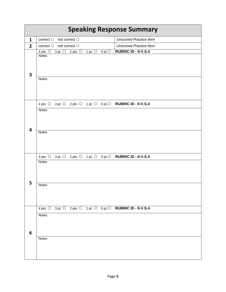| <b>Speaking Response Summary</b> |                                                                                        |                               |  |  |  |
|----------------------------------|----------------------------------------------------------------------------------------|-------------------------------|--|--|--|
| $\mathbf{1}$                     | correct $\bigcirc$ not correct $\bigcirc$                                              | <b>Unscored Practice Item</b> |  |  |  |
| $\overline{2}$                   | correct $\bigcirc$ not correct $\bigcirc$                                              | <b>Unscored Practice Item</b> |  |  |  |
|                                  | 4 pts. $\bigcirc$ 3 pt. $\bigcirc$ 2 pts. $\bigcirc$ 1 pt. $\bigcirc$ 0 pt. $\bigcirc$ | RUBRIC ID - II-V.S.4          |  |  |  |
| 3                                | <b>Notes</b>                                                                           |                               |  |  |  |
|                                  | <b>Notes</b>                                                                           |                               |  |  |  |
|                                  | 4 pts. 0 3 pt. 0 2 pts. 0 1 pt. 0 0 pt. 0 RUBRIC ID - II-V.S.4                         |                               |  |  |  |
| 4                                | <b>Notes</b>                                                                           |                               |  |  |  |
|                                  | <b>Notes</b>                                                                           |                               |  |  |  |
|                                  | 4 pts. 0 3 pt. 0 2 pts. 0 1 pt. 0 0 pt. 0 RUBRIC ID - II-V.S.4                         |                               |  |  |  |
| 5                                | <b>Notes</b>                                                                           |                               |  |  |  |
|                                  | <b>Notes</b>                                                                           |                               |  |  |  |
|                                  | 4 pts. 0 3 pt. 0 2 pts. 0 1 pt. 0 0 pt. 0 RUBRIC ID - II-V.S.4                         |                               |  |  |  |
| 6                                | <b>Notes</b>                                                                           |                               |  |  |  |
|                                  | Notes                                                                                  |                               |  |  |  |